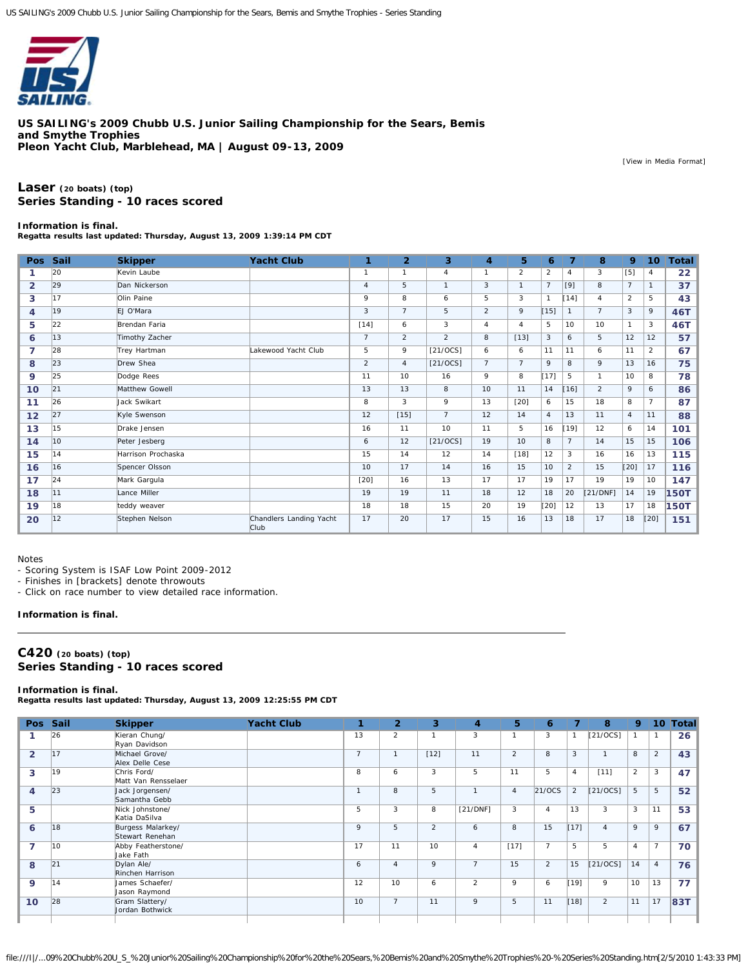

**US SAILING's 2009 Chubb U.S. Junior Sailing Championship for the Sears, Bemis and Smythe Trophies Pleon Yacht Club, Marblehead, MA | August 09-13, 2009**

[[View in Media Format\]](http://www.regattanetwork.com/clubmgmt/applet_regatta_results.php?regatta_id=2225&show_crew=1&media_format=1)

# **[Laser](http://www.regattanetwork.com/clubmgmt/applet_regatta_results.php?regatta_id=2225&show_crew=1&limit_fleet=Laser) (20 boats) [\(top\)](http://www.regattanetwork.com/clubmgmt/applet_regatta_results.php?regatta_id=2225&show_crew=1#top) Series Standing - 10 races scored**

## **Information is final.**

**Regatta results last updated: Thursday, August 13, 2009 1:39:14 PM CDT**

| <b>Pos</b>     | <b>Sail</b> | <b>Skipper</b>     | <b>Yacht Club</b>               | 1              | $\overline{2}$ | 3              | 4              | 5              | 6              | 7                     | 8              | 9              | 10 <sup>°</sup> | <b>Total</b>    |
|----------------|-------------|--------------------|---------------------------------|----------------|----------------|----------------|----------------|----------------|----------------|-----------------------|----------------|----------------|-----------------|-----------------|
|                | 20          | Kevin Laube        |                                 | $\overline{1}$ |                | 4              | 1              | $\overline{2}$ | $\overline{2}$ | $\boldsymbol{\Delta}$ | 3              | [5]            | 4               | 22 <sub>2</sub> |
| $\overline{2}$ | 29          | Dan Nickerson      |                                 | 4              | 5              | $\mathbf{1}$   | 3              | $\mathbf{1}$   | $\overline{7}$ | [9]                   | 8              | $\overline{7}$ | $\mathbf{1}$    | 37              |
| 3              | 17          | Olin Paine         |                                 | 9              | 8              | 6              | 5              | 3              | $\mathbf{1}$   | $[14]$                | $\overline{4}$ | $\overline{2}$ | 5               | 43              |
| $\overline{4}$ | 19          | EJ O'Mara          |                                 | 3              | $\overline{7}$ | 5              | 2              | 9              | [15]           | $\mathbf{1}$          | $\overline{7}$ | 3              | 9               | 46T             |
| 5              | 22          | Brendan Faria      |                                 | $[14]$         | 6              | 3              | 4              | 4              | 5              | 10                    | 10             | $\mathbf{1}$   | 3               | 46T             |
| 6              | 13          | Timothy Zacher     |                                 | $\overline{7}$ | $\overline{2}$ | $\overline{2}$ | 8              | $[13]$         | 3              | 6                     | 5              | 12             | 12              | 57              |
| $\overline{7}$ | 28          | Trey Hartman       | Lakewood Yacht Club             | 5              | 9              | [21/0CS]       | 6              | 6              | 11             | 11                    | 6              | 11             | $\overline{2}$  | 67              |
| 8              | 23          | Drew Shea          |                                 | $\overline{2}$ | $\overline{4}$ | [21/0CS]       | $\overline{7}$ | $\overline{7}$ | 9              | 8                     | 9              | 13             | 16              | 75              |
| 9              | 25          | Dodge Rees         |                                 | 11             | 10             | 16             | 9              | 8              | [17]           | 5                     | $\mathbf{1}$   | 10             | 8               | 78              |
| 10             | 21          | Matthew Gowell     |                                 | 13             | 13             | 8              | 10             | 11             | 14             | $[16]$                | $\overline{2}$ | 9              | 6               | 86              |
| 11             | 26          | Jack Swikart       |                                 | 8              | 3              | 9              | 13             | $[20]$         | 6              | 15                    | 18             | 8              | $\overline{7}$  | 87              |
| 12             | 27          | Kyle Swenson       |                                 | 12             | $[15]$         | $\overline{7}$ | 12             | 14             | $\overline{4}$ | 13                    | 11             | $\overline{4}$ | 11              | 88              |
| 13             | 15          | Drake Jensen       |                                 | 16             | 11             | 10             | 11             | 5              | 16             | [19]                  | 12             | 6              | 14              | 101             |
| 14             | 10          | Peter Jesberg      |                                 | 6              | 12             | $[21/0CS]$     | 19             | 10             | 8              | $\overline{7}$        | 14             | 15             | 15              | 106             |
| 15             | 14          | Harrison Prochaska |                                 | 15             | 14             | 12             | 14             | $[18]$         | 12             | 3                     | 16             | 16             | 13              | 115             |
| 16             | 16          | Spencer Olsson     |                                 | 10             | 17             | 14             | 16             | 15             | 10             | $\overline{2}$        | 15             | [20]           | 17              | 116             |
| 17             | 24          | Mark Gargula       |                                 | $[20]$         | 16             | 13             | 17             | 17             | 19             | 17                    | 19             | 19             | 10              | 147             |
| 18             | 11          | Lance Miller       |                                 | 19             | 19             | 11             | 18             | 12             | 18             | 20                    | [21/DNF]       | 14             | 19              | <b>150T</b>     |
| 19             | 18          | teddy weaver       |                                 | 18             | 18             | 15             | 20             | 19             | [20]           | 12                    | 13             | 17             | 18              | <b>150T</b>     |
| 20             | 12          | Stephen Nelson     | Chandlers Landing Yacht<br>Club | 17             | 20             | 17             | 15             | 16             | 13             | 18                    | 17             | 18             | [20]            | 151             |

Notes

- Scoring System is ISAF Low Point 2009-2012

- Finishes in [brackets] denote throwouts

- Click on race number to view detailed race information.

### **Information is final.**

# **[C420](http://www.regattanetwork.com/clubmgmt/applet_regatta_results.php?regatta_id=2225&show_crew=1&limit_fleet=C420) (20 boats) [\(top\)](http://www.regattanetwork.com/clubmgmt/applet_regatta_results.php?regatta_id=2225&show_crew=1#top) Series Standing - 10 races scored**

## **Information is final.**

**Regatta results last updated: Thursday, August 13, 2009 12:25:55 PM CDT**

| Pos -<br>Sail | <b>Skipper</b>                       | <b>Yacht Club</b> | А.             | $\overline{2}$ | 3              | $\overline{4}$ | 5              | 6              |                | 8              | 9                        | 10 <sup>1</sup> | <b>Total</b> |
|---------------|--------------------------------------|-------------------|----------------|----------------|----------------|----------------|----------------|----------------|----------------|----------------|--------------------------|-----------------|--------------|
| 26            | Kieran Chung/<br>Ryan Davidson       |                   | 13             | $\overline{a}$ | $\mathbf{1}$   | 3              |                | 3              |                | $[21/0CS]$     |                          |                 | 26           |
| 17            | Michael Grove/<br>Alex Delle Cese    |                   | $\overline{7}$ |                | $[12]$         | 11             | $\overline{2}$ | 8              | 3              | -1             | 8                        | $\overline{a}$  | 43           |
| 19            | Chris Ford/<br>Matt Van Rensselaer   |                   | 8              | 6              | 3              | 5              | 11             | 5              | $\overline{4}$ | [11]           | $\overline{2}$           | 3               | 47           |
| 23            | Jack Jorgensen/<br>Samantha Gebb     |                   | $\mathbf{1}$   | 8              | 5              | $\overline{1}$ | $\overline{4}$ | 21/OCS         | $\overline{2}$ | [21/0CS]       | 5                        | 5               | 52           |
|               | Nick Johnstone/<br>Katia DaSilva     |                   | 5              | 3              | 8              | [21/DNF]       | 3              | $\overline{4}$ | 13             | 3              | 3                        | 11              | 53           |
| 18            | Burgess Malarkey/<br>Stewart Renehan |                   | 9              | 5              | $\overline{2}$ | 6              | 8              | 15             |                | $\overline{4}$ | 9                        | 9               | 67           |
| 10            | Abby Featherstone/<br>Jake Fath      |                   | 17             | 11             | 10             | $\overline{4}$ | $[17]$         | $\overline{7}$ | 5              | 5              | $\overline{4}$           | $\overline{7}$  | 70           |
| 21            | Dylan Ale/<br>Rinchen Harrison       |                   | 6              | $\overline{4}$ | 9              | $\overline{7}$ | 15             | $\overline{2}$ | 15             | [21/0CS]       | 14                       | $\overline{4}$  | 76           |
| 14            | James Schaefer/<br>Jason Raymond     |                   | 12             | 10             | 6              | $\overline{2}$ | 9              | 6              |                | 9              | 10                       | 13              | 77           |
| 28            | Gram Slattery/<br>Jordan Bothwick    |                   | 10             | $\overline{7}$ | 11             | 9              | 5              | 11             |                | 2              | 11                       | 17              | 83T          |
|               |                                      |                   |                |                |                |                |                |                |                |                | $[17]$<br>[19]<br>$[18]$ |                 |              |